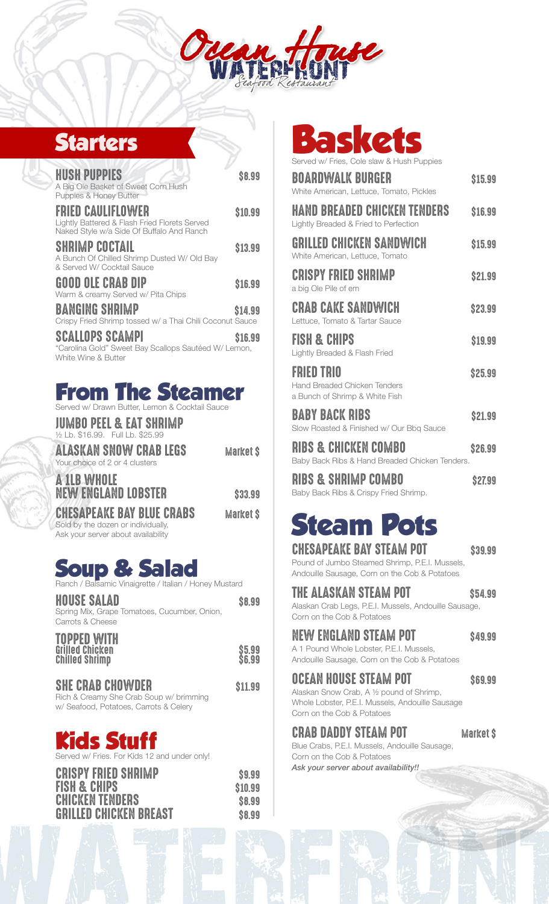

## **Starters**

| <b>HUSH PUPPIES</b><br>A Big Ole Basket of Sweet Corn Hush<br><b>Puppies &amp; Honey Butter</b>                 | <b>\$8.99</b> |
|-----------------------------------------------------------------------------------------------------------------|---------------|
| FRIED CAULIFLOWER<br>Lightly Battered & Flash Fried Florets Served<br>Naked Style w/a Side Of Buffalo And Ranch | \$10.99       |
| SHRIMP COCTAIL<br>A Bunch Of Chilled Shrimp Dusted W/ Old Bay<br>& Served W/ Cocktail Sauce                     | \$13.99       |
| GOOD OLE CRAB DIP<br>Warm & creamy Served w/ Pita Chips                                                         | \$16.99       |
| BANGING SHRIMP<br>Crispy Fried Shrimp tossed w/ a Thai Chili Coconut Sauce                                      | \$14.99       |
| SCALLOPS SCAMPI<br>"Carolina Gold" Sweet Bay Scallops Sautéed W/ Lemon,<br>White Wine & Butter                  | \$16.99       |

## **From The Steamer**

Served w/ Drawn Butter, Lemon & Cocktail Sauce

|  | JUMBO PEEL & EAT SHRIMP           |  |  |  |
|--|-----------------------------------|--|--|--|
|  | 1/2 Lb. \$16.99. Full Lb. \$25.99 |  |  |  |

| <b>ALASKAN SNOW CRAB LEGS</b>  |  |  |  | <b>Market S</b> |  |
|--------------------------------|--|--|--|-----------------|--|
| Your choice of 2 or 4 clusters |  |  |  |                 |  |

NEW ENGLAND LOBSTER \$33.99 CHESAPEAKE BAY BLUE CRABS Market \$ Sold by the dozen or individually,

Ask your server about availability

A 1LB WHOLE

## **Soup & Salad**<br>Banch / Balsanic Vinaigrette / Italian / Ho amic Vinaigrette / Italian / Honey Mustard

| HOUSE SALAD<br>Spring Mix, Grape Tomatoes, Cucumber, Onion,<br>Carrots & Cheese                                     | <b>\$8.99</b>            |
|---------------------------------------------------------------------------------------------------------------------|--------------------------|
| TOPPED WITH<br>Grilled Chicken<br><b>Chilled Shrimp</b>                                                             | <b>\$5.99<br/>\$6.99</b> |
| <b><i>SHE CRAB CHOWDER</i></b><br>Rich & Creamy She Crab Soup w/ brimming<br>w/ Seafood, Potatoes, Carrots & Celery | \$11.99                  |

# **Kids Stuff**

Served w/ Fries. For Kids 12 and under only!

| <b>CRISPY FRIED SHRIMP</b>    | \$9.99  |
|-------------------------------|---------|
| <b>FISH &amp; CHIPS</b>       | \$10.99 |
| <b>CHICKEN TENDERS</b>        | \$8.99  |
| <b>GRILLED CHICKEN BREAST</b> | \$8.99  |

**Baskets**

Served w/ Fries, Cole slaw & Hush Puppies

| BOARDWALK BURGER<br>White American, Lettuce, Tomato, Pickles                        | \$15.99 |
|-------------------------------------------------------------------------------------|---------|
| HAND BREADED CHICKEN TENDERS<br>Lightly Breaded & Fried to Perfection               | \$16.99 |
| GRILLED CHICKEN SANDWICH<br>White American, Lettuce, Tomato                         | \$15.99 |
| <b>CRISPY FRIED SHRIMP</b><br>a big Ole Pile of em                                  | \$21.99 |
| CRAB CAKE SANDWICH<br>Lettuce. Tomato & Tartar Sauce                                | \$23.99 |
| <b>FISH &amp; CHIPS</b><br>Lightly Breaded & Flash Fried                            | \$19.99 |
| FRIED TRIO<br><b>Hand Breaded Chicken Tenders</b><br>a Bunch of Shrimp & White Fish | \$25.99 |
| BABY BACK RIBS<br>Slow Roasted & Finished w/ Our Bbq Sauce                          | \$21.99 |
| RIBS & CHICKEN COMBO<br>Baby Back Ribs & Hand Breaded Chicken Tenders.              | S26.99  |

RIBS & SHRIMP COMBO \$27.99 Baby Back Ribs & Crispy Fried Shrimp.

# **Steam Pots**

## CHESAPEAKE BAY STEAM POT \$39.99

Pound of Jumbo Steamed Shrimp, P.E.I. Mussels, Andouille Sausage, Corn on the Cob & Potatoes

## THE ALASKAN STEAM POT \$54.99

Alaskan Crab Legs, P.E.I. Mussels, Andouille Sausage, Corn on the Cob & Potatoes

## NEW ENGLAND STEAM POT \$49.99

A 1 Pound Whole Lobster, P.E.I. Mussels, Andouille Sausage, Corn on the Cob & Potatoes

OCEAN HOUSE STEAM POT \$69.99 Alaskan Snow Crab, A ½ pound of Shrimp, Whole Lobster, P.E.I. Mussels, Andouille Sausage Corn on the Cob & Potatoes

## CRAB DADDY STEAM POT Market \$

Blue Crabs, P.E.I. Mussels, Andouille Sausage, Corn on the Cob & Potatoes *Ask your server about availability!!*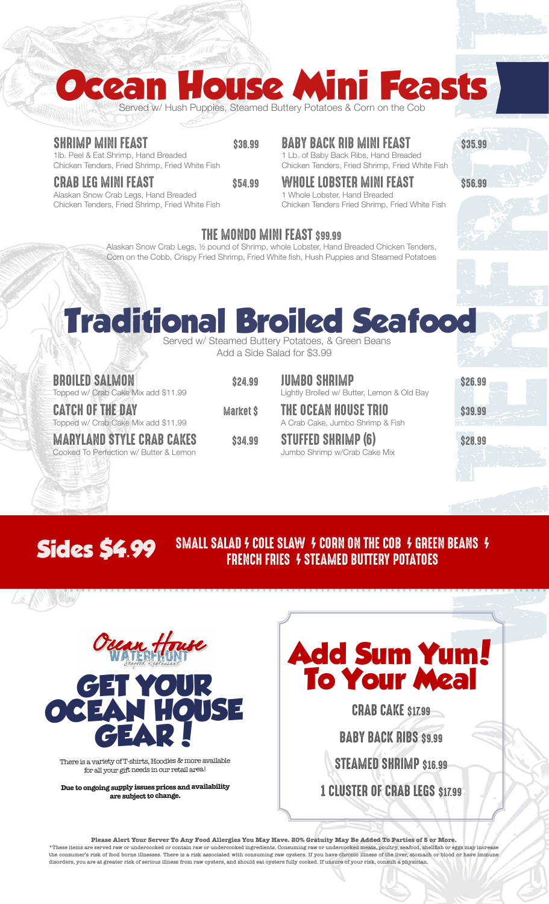# **Ocean House Mini Feasts**

Served w/ Hush Puppies, Steamed Buttery Potatoes & Corn on the Cob

### SHRIMP MINI FEAST \$38.99

1lb. Peel & Eat Shrimp, Hand Breaded Chicken Tenders, Fried Shrimp, Fried White Fish

#### CRAB LEG MINI FEAST \$54.99

Alaskan Snow Crab Legs, Hand Breaded Chicken Tenders, Fried Shrimp, Fried White Fish

## **BABY BACK RIB MINI FEAST \$35.99**

1 Lb. of Baby Back Ribs, Hand Breaded Chicken Tenders, Fried Shrimp, Fried White Fish

## WHOLE LOBSTER MINI FEAST \$56.99

1 Whole Lobster, Hand Breaded Chicken Tenders Fried Shrimp, Fried White Fish

## THE MONDO MINI FEAST \$99.99

Alaskan Snow Crab Legs, ½ pound of Shrimp, whole Lobster, Hand Breaded Chicken Tenders, Corn on the Cobb, Crispy Fried Shrimp, Fried White fish, Hush Puppies and Steamed Potatoes

## **Traditional Broiled Seafood** Served w/ Steamed Buttery Potatoes, & Green Beans

Add a Side Salad for \$3.99

| <b>BROILED SALMON</b><br>Topped w/ Crab Cake Mix add \$11.99               | <b>\$24.99</b> | <b>JUMBO SHRIMP</b><br>Lightly Broiled w/ Butter, Lemon & Old Bay | \$26.99                               |
|----------------------------------------------------------------------------|----------------|-------------------------------------------------------------------|---------------------------------------|
| <b>CATCH OF THE DAY</b><br>Topped w/ Crab Cake Mix add \$11.99             | Market \$      | THE OCEAN HOUSE TRIO<br>A Crab Cake, Jumbo Shrimp & Fish          | \$39.99<br>$\mathbf{R} = -\mathbf{r}$ |
| <b>MARYLAND STYLE CRAB CAKES</b><br>Cooked To Perfection w/ Butter & Lemon | \$34.99        | <b>STUFFED SHRIMP (6)</b><br>Jumbo Shrimp w/Crab Cake Mix         | \$28.99                               |

## SMALL SALAD 4 COLE SLAW 4 CORN ON THE COB 4 GREEN BEANS 4 **Sides \$4.99** SMALL SALAD *4* COLE SLAW *4* CORN ON THE COB *4* GREED SIGNALL SALAD *5* CORN FRIES *4* STEAMED BUTTERY POTATOES



43 1979 1989

There is a variety of T-shirts, Hoodies & more available for all your gift needs in our retail area!

**Due to ongoing supply issues prices and availability are subject to change.**

# **Add Sum Yum! To Your Meal**

CRAB CAKE \$17.99 **BABY BACK RIBS \$9.99** STEAMED SHRIMP \$16.99 1 CLUSTER OF CRAB LEGS \$17.99

**Please Alert Your Server To Any Food Allergies You May Have. 20% Gratuity May Be Added To Parties of 5 or More. \*These items are served raw or undercooked or contain raw or undercooked ingredients. Consuming raw or undercooked meats, poultry, seafood, shellfish or eggs may increase the consumer's risk of food borne illnesses. There is a risk associated with consuming raw oysters. If you have chronic illness of the liver, stomach or blood or have immune disorders, you are at greater risk of serious illness from raw oysters, and should eat oysters fully cooked. If unsure of your risk, consult a physician.**